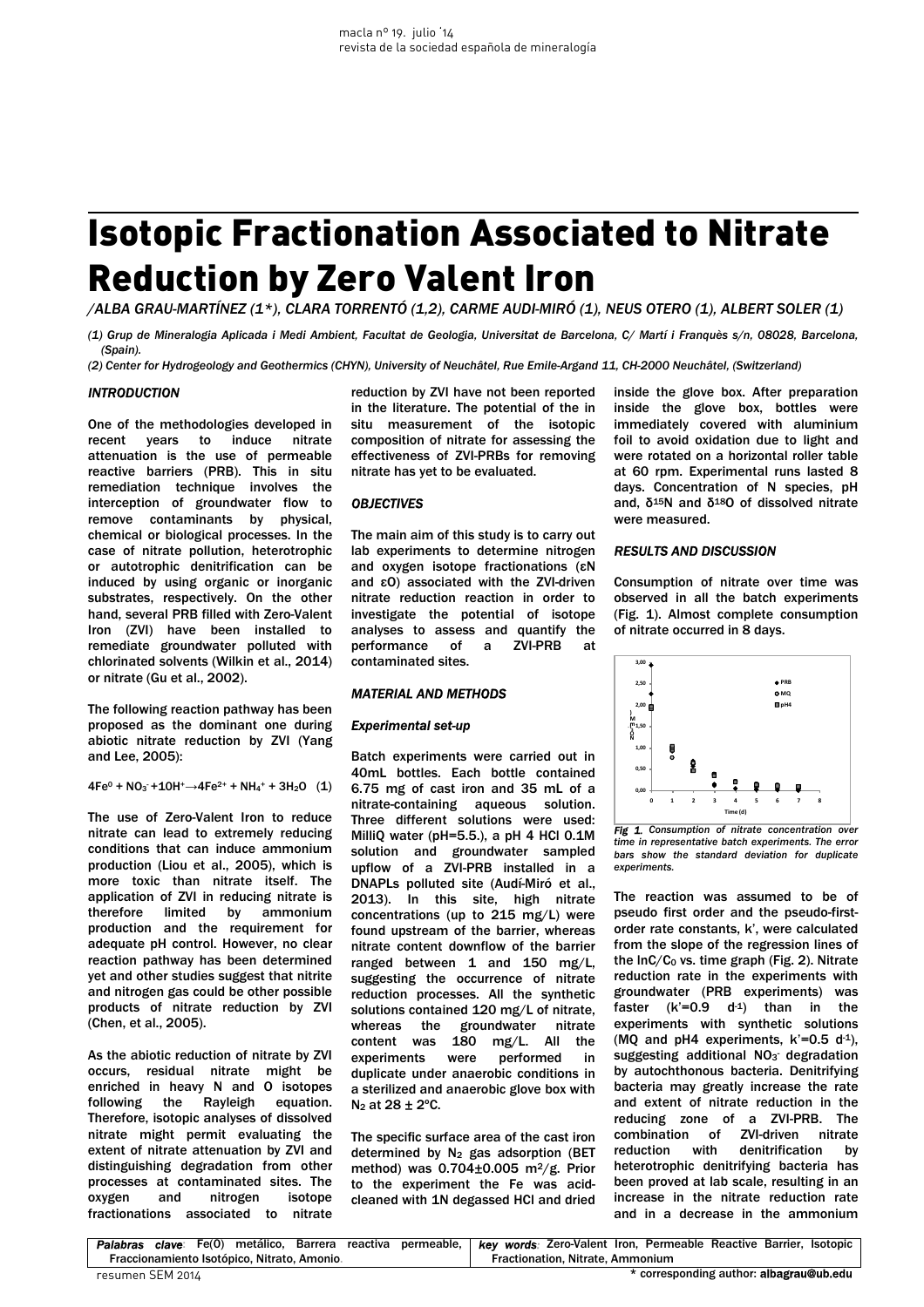# Isotopic Fractionation Associated to Nitrate Reduction by Zero Valent Iron

*/ALBA GRAU-MARTÍNEZ (1\*), CLARA TORRENTÓ (1,2), CARME AUDI-MIRÓ (1), NEUS OTERO (1), ALBERT SOLER (1)* 

*(1) Grup de Mineralogia Aplicada i Medi Ambient, Facultat de Geologia, Universitat de Barcelona, C/ Martí i Franquès s/n, 08028, Barcelona, (Spain).* 

*(2) Center for Hydrogeology and Geothermics (CHYN), University of Neuchâtel, Rue Emile-Argand 11, CH-2000 Neuchâtel, (Switzerland)* 

### *INTRODUCTION*

One of the methodologies developed in recent years to induce nitrate attenuation is the use of permeable reactive barriers (PRB). This in situ remediation technique involves the interception of groundwater flow to remove contaminants by physical, chemical or biological processes. In the case of nitrate pollution, heterotrophic or autotrophic denitrification can be induced by using organic or inorganic substrates, respectively. On the other hand, several PRB filled with Zero-Valent Iron (ZVI) have been installed to remediate groundwater polluted with chlorinated solvents (Wilkin et al., 2014) or nitrate (Gu et al., 2002).

The following reaction pathway has been proposed as the dominant one during abiotic nitrate reduction by ZVI (Yang and Lee, 2005):

 $4Fe^0 + NO_3 + 1OH^+ \rightarrow 4Fe^{2+} + NH_4^+ + 3H_2O$  (1)

The use of Zero-Valent Iron to reduce nitrate can lead to extremely reducing conditions that can induce ammonium production (Liou et al., 2005), which is more toxic than nitrate itself. The application of ZVI in reducing nitrate is therefore limited by ammonium production and the requirement for adequate pH control. However, no clear reaction pathway has been determined yet and other studies suggest that nitrite and nitrogen gas could be other possible products of nitrate reduction by ZVI (Chen, et al., 2005).

As the abiotic reduction of nitrate by ZVI occurs, residual nitrate might be enriched in heavy N and O isotopes<br>following the Rayleigh equation. following the Rayleigh Therefore, isotopic analyses of dissolved nitrate might permit evaluating the extent of nitrate attenuation by ZVI and distinguishing degradation from other processes at contaminated sites. The oxygen and nitrogen isotope fractionations associated to nitrate

reduction by ZVI have not been reported in the literature. The potential of the in situ measurement of the isotopic composition of nitrate for assessing the effectiveness of ZVI-PRBs for removing nitrate has yet to be evaluated.

## *OBJECTIVES*

The main aim of this study is to carry out lab experiments to determine nitrogen and oxygen isotope fractionations (εN and εO) associated with the ZVI-driven nitrate reduction reaction in order to investigate the potential of isotope analyses to assess and quantify the performance of a ZVI-PRB at contaminated sites.

#### *MATERIAL AND METHODS*

#### *Experimental set-up*

Batch experiments were carried out in 40mL bottles. Each bottle contained 6.75 mg of cast iron and 35 mL of a nitrate-containing aqueous solution. Three different solutions were used: MilliQ water (pH=5.5.), a pH 4 HCl 0.1M solution and groundwater sampled upflow of a ZVI-PRB installed in a DNAPLs polluted site (Audí-Miró et al., 2013). In this site, high nitrate concentrations (up to 215 mg/L) were found upstream of the barrier, whereas nitrate content downflow of the barrier ranged between 1 and 150 mg/L, suggesting the occurrence of nitrate reduction processes. All the synthetic solutions contained 120 mg/L of nitrate, whereas the groundwater nitrate content was 180 mg/L. All the experiments were performed in duplicate under anaerobic conditions in a sterilized and anaerobic glove box with  $N_2$  at 28  $\pm$  2°C.

The specific surface area of the cast iron determined by  $N_2$  gas adsorption (BET method) was  $0.704\pm0.005$  m<sup>2</sup>/g. Prior to the experiment the Fe was acidcleaned with 1N degassed HCl and dried inside the glove box. After preparation inside the glove box, bottles were immediately covered with aluminium foil to avoid oxidation due to light and were rotated on a horizontal roller table at 60 rpm. Experimental runs lasted 8 days. Concentration of N species, pH and,  $δ<sup>15</sup>N$  and  $δ<sup>18</sup>O$  of dissolved nitrate were measured.

# *RESULTS AND DISCUSSION*

Consumption of nitrate over time was observed in all the batch experiments (Fig. 1). Almost complete consumption of nitrate occurred in 8 days.



*Fig 1. Consumption of nitrate concentration over time in representative batch experiments. The error bars show the standard deviation for duplicate experiments.* 

The reaction was assumed to be of pseudo first order and the pseudo-firstorder rate constants, k', were calculated from the slope of the regression lines of the  $InC/C<sub>0</sub>$  vs. time graph (Fig. 2). Nitrate reduction rate in the experiments with groundwater (PRB experiments) was faster  $(k'=0.9 \, d^{-1})$  than in the experiments with synthetic solutions (MQ and pH4 experiments,  $k'=0.5 d^{-1}$ ), suggesting additional  $NO<sub>3</sub>$  degradation by autochthonous bacteria. Denitrifying bacteria may greatly increase the rate and extent of nitrate reduction in the reducing zone of a ZVI-PRB. The combination of ZVI-driven nitrate reduction with denitrification by heterotrophic denitrifying bacteria has been proved at lab scale, resulting in an increase in the nitrate reduction rate and in a decrease in the ammonium

| Palabras clave: Fe(0) metálico, Barrera reactiva permeable, key words: Zero-Valent Iron, Permeable Reactive Barrier, Isotopic |  |  |  |  |  |                                  |  |  |                                         |  |  |  |
|-------------------------------------------------------------------------------------------------------------------------------|--|--|--|--|--|----------------------------------|--|--|-----------------------------------------|--|--|--|
| Fraccionamiento Isotópico, Nitrato, Amonio.                                                                                   |  |  |  |  |  | Fractionation. Nitrate. Ammonium |  |  |                                         |  |  |  |
| resumen SEM 2014                                                                                                              |  |  |  |  |  |                                  |  |  | * corresponding author: albagrau@ub.edu |  |  |  |